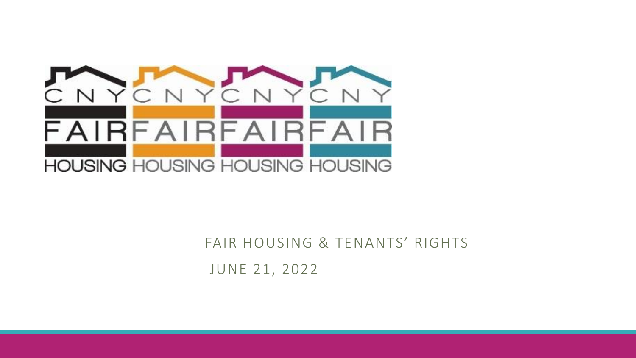

#### FAIR HOUSING & TENANTS' RIGHTS

JUNE 21, 2022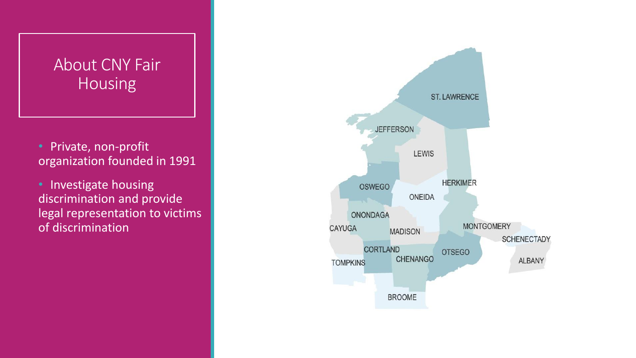#### About CNY Fair Housing

- Private, non-profit organization founded in 1991
- Investigate housing discrimination and provide legal representation to victims of discrimination

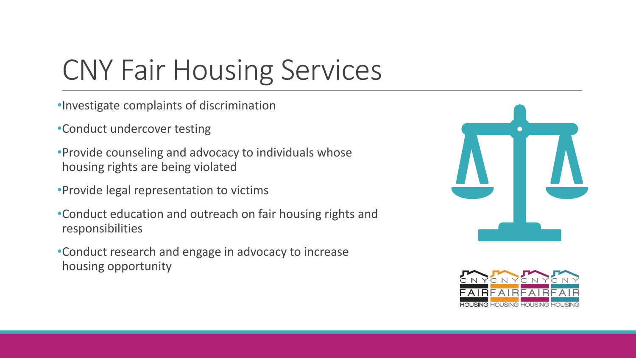# CNY Fair Housing Services

- •Investigate complaints of discrimination
- •Conduct undercover testing
- •Provide counseling and advocacy to individuals whose housing rights are being violated
- •Provide legal representation to victims
- •Conduct education and outreach on fair housing rights and responsibilities
- •Conduct research and engage in advocacy to increase housing opportunity



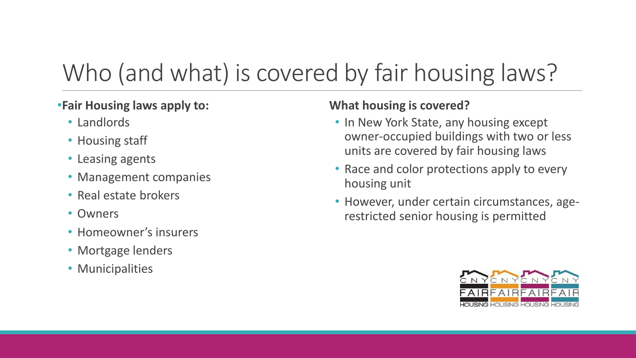### Who (and what) is covered by fair housing laws?

#### •**Fair Housing laws apply to:**

- Landlords
- Housing staff
- Leasing agents
- Management companies
- Real estate brokers
- Owners
- Homeowner's insurers
- Mortgage lenders
- Municipalities

#### **What housing is covered?**

- In New York State, any housing except owner-occupied buildings with two or less units are covered by fair housing laws
- Race and color protections apply to every housing unit
- However, under certain circumstances, agerestricted senior housing is permitted

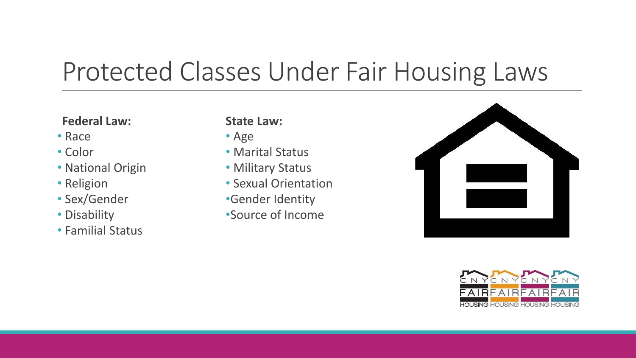### Protected Classes Under Fair Housing Laws

#### **Federal Law:**

- Race
- Color
- National Origin
- Religion
- Sex/Gender
- Disability
- Familial Status

#### **State Law:**

- Age
- Marital Status
- Military Status
- Sexual Orientation
- •Gender Identity
- •Source of Income



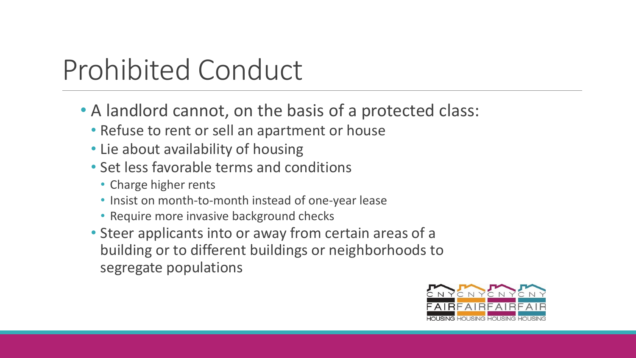# Prohibited Conduct

- A landlord cannot, on the basis of a protected class:
	- Refuse to rent or sell an apartment or house
	- Lie about availability of housing
	- Set less favorable terms and conditions
		- Charge higher rents
		- Insist on month-to-month instead of one-year lease
		- Require more invasive background checks
	- Steer applicants into or away from certain areas of a building or to different buildings or neighborhoods to segregate populations

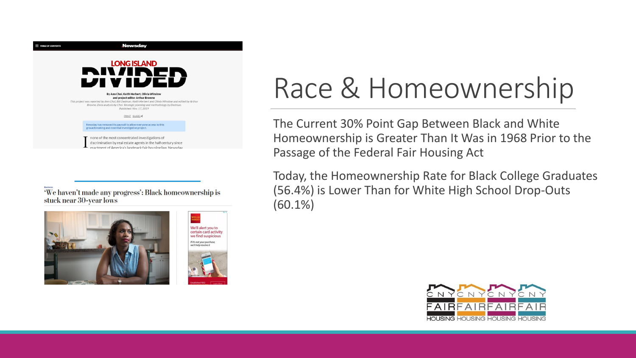

We haven't made any progress': Black homeownership is stuck near 30-year lows





# Race & Homeownership

The Current 30% Point Gap Between Black and White Homeownership is Greater Than It Was in 1968 Prior to the Passage of the Federal Fair Housing Act

Today, the Homeownership Rate for Black College Graduates (56.4%) is Lower Than for White High School Drop-Outs (60.1%)

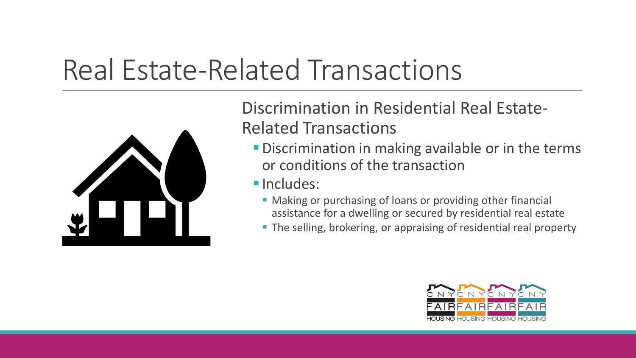## Real Estate-Related Transactions



Discrimination in Residential Real Estate-Related Transactions

- **Discrimination in making available or in the terms** or conditions of the transaction
- **<u>■ Includes:</u>** 
	- Making or purchasing of loans or providing other financial assistance for a dwelling or secured by residential real estate
	- **The selling, brokering, or appraising of residential real property**

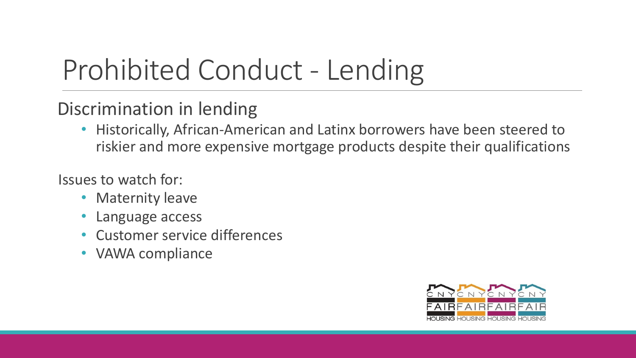# Prohibited Conduct - Lending

#### Discrimination in lending

• Historically, African-American and Latinx borrowers have been steered to riskier and more expensive mortgage products despite their qualifications

Issues to watch for:

- Maternity leave
- Language access
- Customer service differences
- VAWA compliance

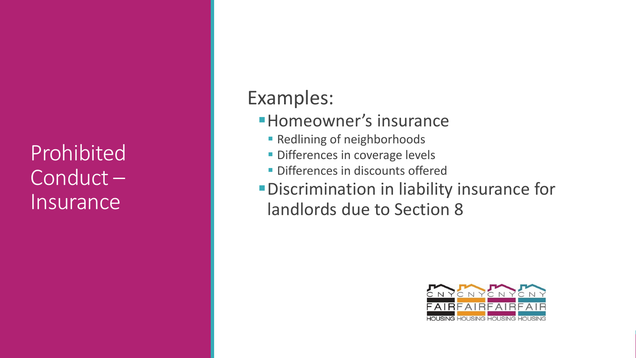Prohibited Conduct – **Insurance** 

#### Examples:

- **Homeowner's insurance** 
	- Redlining of neighborhoods
	- **· Differences in coverage levels**
	- **· Differences in discounts offered**
- **•Discrimination in liability insurance for** landlords due to Section 8

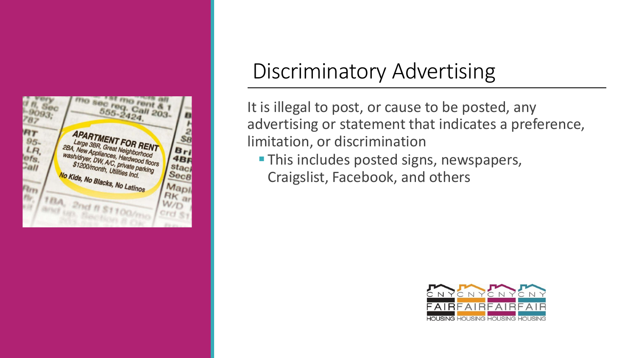

#### Discriminatory Advertising

It is illegal to post, or cause to be posted, any advertising or statement that indicates a preference, limitation, or discrimination

**This includes posted signs, newspapers,** Craigslist, Facebook, and others

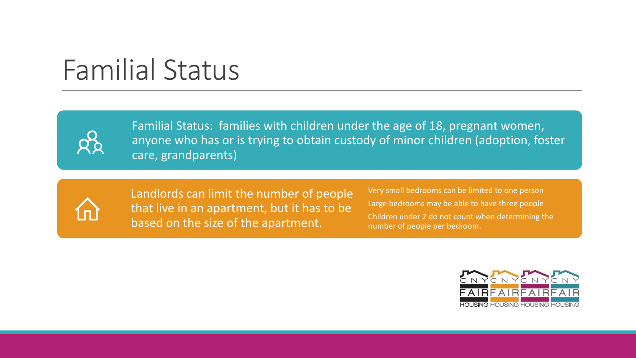## Familial Status



Familial Status: families with children under the age of 18, pregnant women, anyone who has or is trying to obtain custody of minor children (adoption, foster care, grandparents)



Landlords can limit the number of people that live in an apartment, but it has to be based on the size of the apartment.

Very small bedrooms can be limited to one person Large bedrooms may be able to have three people Children under 2 do not count when determining the number of people per bedroom.

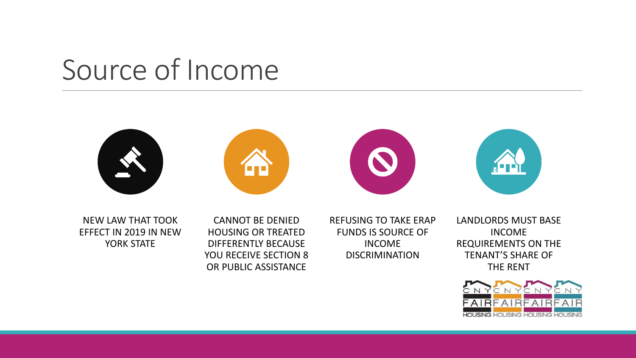## Source of Income









NEW LAW THAT TOOK EFFECT IN 2019 IN NEW YORK STATE

CANNOT BE DENIED HOUSING OR TREATED DIFFERENTLY BECAUSE YOU RECEIVE SECTION 8 OR PUBLIC ASSISTANCE

REFUSING TO TAKE ERAP FUNDS IS SOURCE OF INCOME DISCRIMINATION

LANDLORDS MUST BASE INCOME REQUIREMENTS ON THE TENANT'S SHARE OF THE RENT

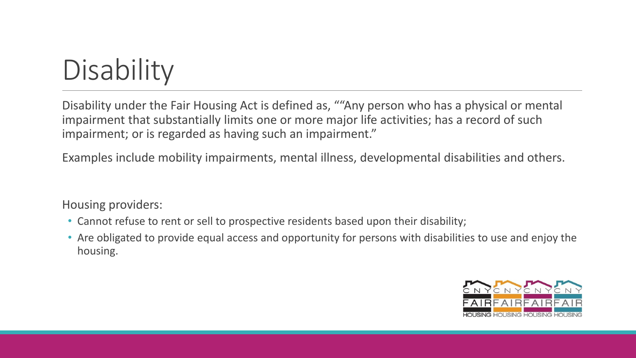# **Disability**

Disability under the Fair Housing Act is defined as, ""Any person who has a physical or mental impairment that substantially limits one or more major life activities; has a record of such impairment; or is regarded as having such an impairment."

Examples include mobility impairments, mental illness, developmental disabilities and others.

Housing providers:

- Cannot refuse to rent or sell to prospective residents based upon their disability;
- Are obligated to provide equal access and opportunity for persons with disabilities to use and enjoy the housing.

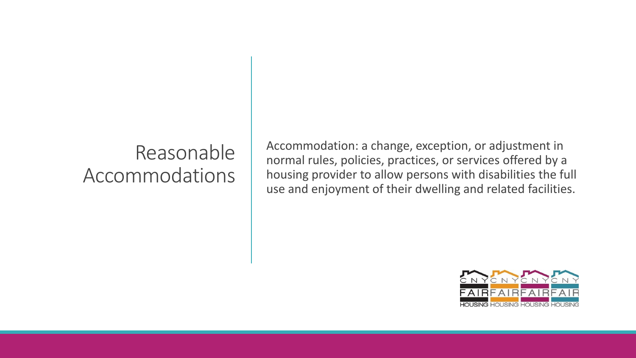#### Reasonable Accommodations

Accommodation: a change, exception, or adjustment in normal rules, policies, practices, or services offered by a housing provider to allow persons with disabilities the full use and enjoyment of their dwelling and related facilities.

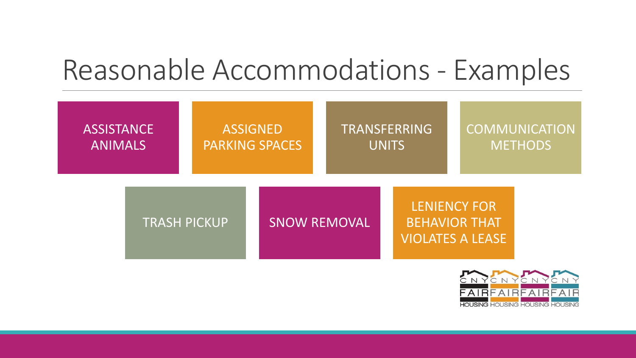## Reasonable Accommodations - Examples

| <b>ASSISTANCE</b>   |  | <b>ASSIGNED</b>       |                     | <b>TRANSFERRING</b> |                                                                        | <b>COMMUNICATION</b> |  |
|---------------------|--|-----------------------|---------------------|---------------------|------------------------------------------------------------------------|----------------------|--|
| <b>ANIMALS</b>      |  | <b>PARKING SPACES</b> |                     | UNITS               |                                                                        | <b>METHODS</b>       |  |
| <b>TRASH PICKUP</b> |  |                       | <b>SNOW REMOVAL</b> |                     | <b>LENIENCY FOR</b><br><b>BEHAVIOR THAT</b><br><b>VIOLATES A LEASE</b> |                      |  |

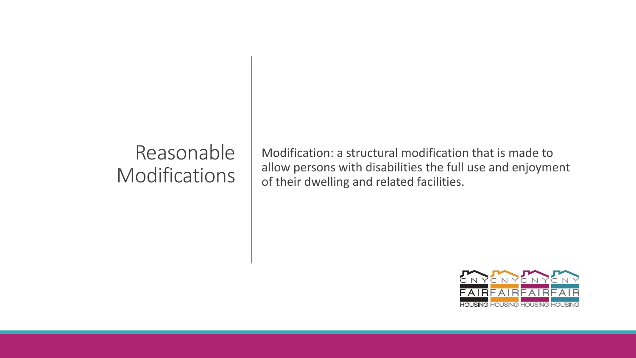#### Reasonable **Modifications**

Modification: a structural modification that is made to allow persons with disabilities the full use and enjoyment of their dwelling and related facilities.

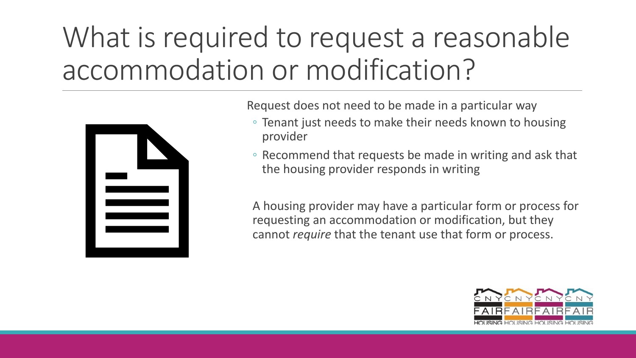# What is required to request a reasonable accommodation or modification?



Request does not need to be made in a particular way

- Tenant just needs to make their needs known to housing provider
- Recommend that requests be made in writing and ask that the housing provider responds in writing

A housing provider may have a particular form or process for requesting an accommodation or modification, but they cannot *require* that the tenant use that form or process.

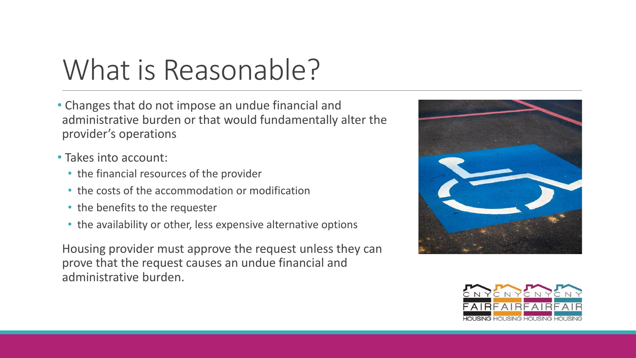## What is Reasonable?

- Changes that do not impose an undue financial and administrative burden or that would fundamentally alter the provider's operations
- Takes into account:
	- the financial resources of the provider
	- the costs of the accommodation or modification
	- the benefits to the requester
	- the availability or other, less expensive alternative options

Housing provider must approve the request unless they can prove that the request causes an undue financial and administrative burden.



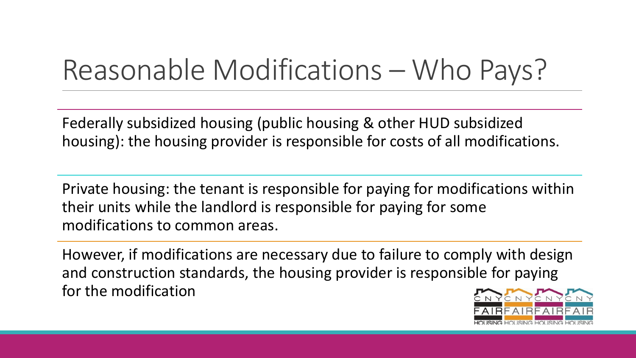## Reasonable Modifications – Who Pays?

Federally subsidized housing (public housing & other HUD subsidized housing): the housing provider is responsible for costs of all modifications.

Private housing: the tenant is responsible for paying for modifications within their units while the landlord is responsible for paying for some modifications to common areas.

However, if modifications are necessary due to failure to comply with design and construction standards, the housing provider is responsible for paying for the modification

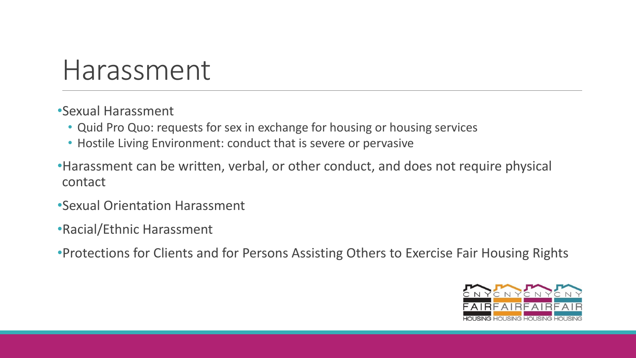### Harassment

•Sexual Harassment

- Quid Pro Quo: requests for sex in exchange for housing or housing services
- Hostile Living Environment: conduct that is severe or pervasive
- •Harassment can be written, verbal, or other conduct, and does not require physical contact
- •Sexual Orientation Harassment
- •Racial/Ethnic Harassment
- •Protections for Clients and for Persons Assisting Others to Exercise Fair Housing Rights

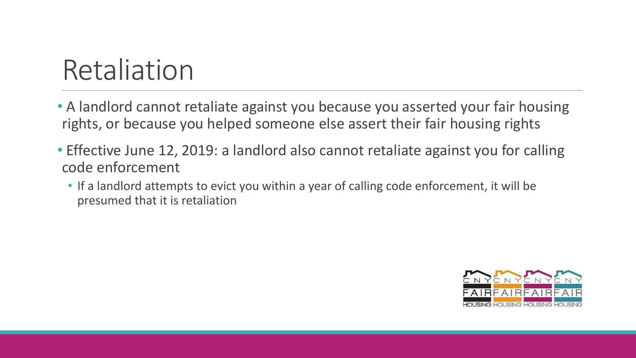## Retaliation

- A landlord cannot retaliate against you because you asserted your fair housing rights, or because you helped someone else assert their fair housing rights
- Effective June 12, 2019: a landlord also cannot retaliate against you for calling code enforcement
	- If a landlord attempts to evict you within a year of calling code enforcement, it will be presumed that it is retaliation

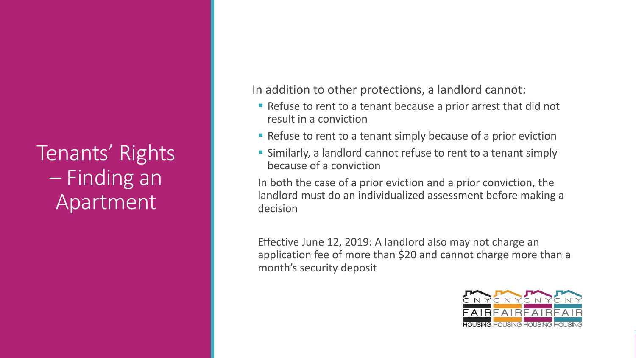Tenants' Rights – Finding an Apartment

In addition to other protections, a landlord cannot:

- Refuse to rent to a tenant because a prior arrest that did not result in a conviction
- Refuse to rent to a tenant simply because of a prior eviction
- **EXTERF Similarly, a landlord cannot refuse to rent to a tenant simply** because of a conviction

In both the case of a prior eviction and a prior conviction, the landlord must do an individualized assessment before making a decision

Effective June 12, 2019: A landlord also may not charge an application fee of more than \$20 and cannot charge more than a month's security deposit

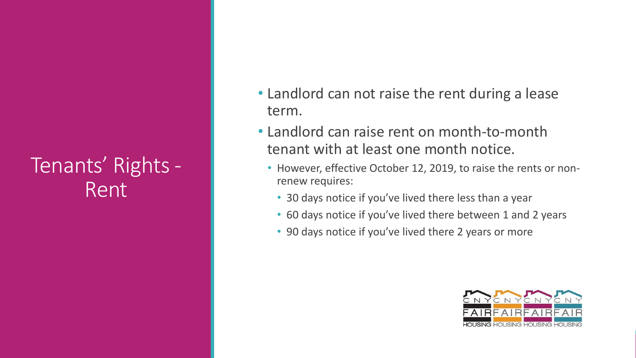#### Tenants' Rights - Rent

- Landlord can not raise the rent during a lease term.
- Landlord can raise rent on month-to-month tenant with at least one month notice.
	- However, effective October 12, 2019, to raise the rents or nonrenew requires:
		- 30 days notice if you've lived there less than a year
		- 60 days notice if you've lived there between 1 and 2 years
		- 90 days notice if you've lived there 2 years or more

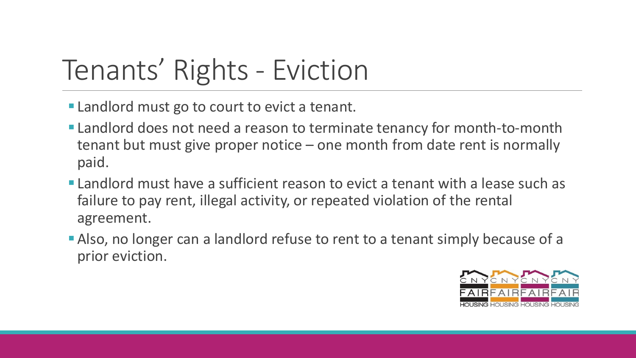# Tenants' Rights - Eviction

- **Example 1** Landlord must go to court to evict a tenant.
- **Example 1** Landlord does not need a reason to terminate tenancy for month-to-month tenant but must give proper notice – one month from date rent is normally paid.
- **Example 1** Landlord must have a sufficient reason to evict a tenant with a lease such as failure to pay rent, illegal activity, or repeated violation of the rental agreement.
- **Example 2** Also, no longer can a landlord refuse to rent to a tenant simply because of a prior eviction.